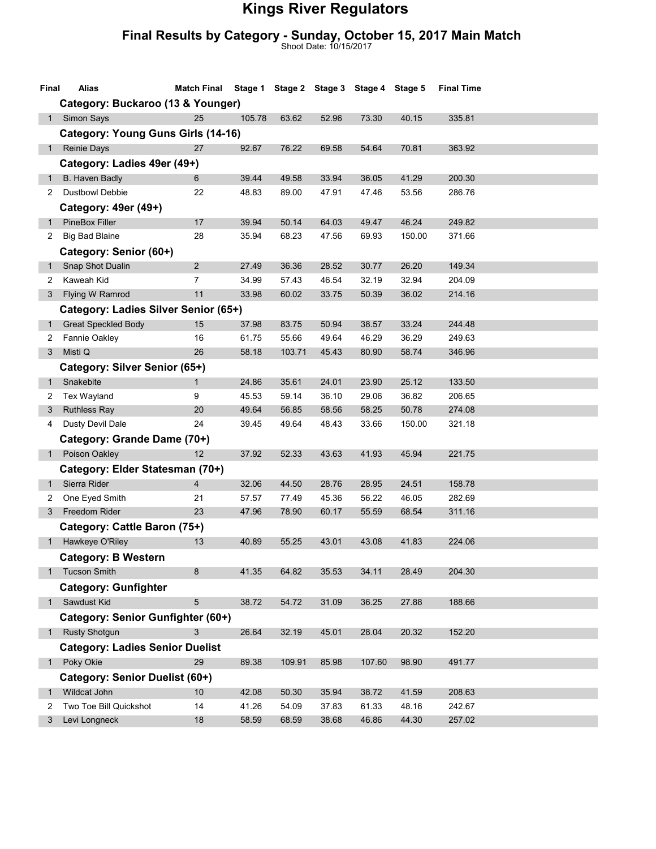## Kings River Regulators

## Final Results by Category - Sunday, October 15, 2017 Main Match

Shoot Date: 10/15/2017

| Final                              | Alias                                  | Match Final Stage 1 Stage 2 Stage 3 Stage 4 Stage 5 |        |        |       |        |        | <b>Final Time</b> |  |  |
|------------------------------------|----------------------------------------|-----------------------------------------------------|--------|--------|-------|--------|--------|-------------------|--|--|
|                                    | Category: Buckaroo (13 & Younger)      |                                                     |        |        |       |        |        |                   |  |  |
| 1                                  | <b>Simon Says</b>                      | 25                                                  | 105.78 | 63.62  | 52.96 | 73.30  | 40.15  | 335.81            |  |  |
| Category: Young Guns Girls (14-16) |                                        |                                                     |        |        |       |        |        |                   |  |  |
| 1                                  | <b>Reinie Days</b>                     | 27                                                  | 92.67  | 76.22  | 69.58 | 54.64  | 70.81  | 363.92            |  |  |
|                                    | Category: Ladies 49er (49+)            |                                                     |        |        |       |        |        |                   |  |  |
| 1                                  | B. Haven Badly                         | 6                                                   | 39.44  | 49.58  | 33.94 | 36.05  | 41.29  | 200.30            |  |  |
| 2                                  | <b>Dustbowl Debbie</b>                 | 22                                                  | 48.83  | 89.00  | 47.91 | 47.46  | 53.56  | 286.76            |  |  |
|                                    | Category: 49er (49+)                   |                                                     |        |        |       |        |        |                   |  |  |
| $\mathbf{1}$                       | <b>PineBox Filler</b>                  | 17                                                  | 39.94  | 50.14  | 64.03 | 49.47  | 46.24  | 249.82            |  |  |
| $\mathbf{2}$                       | <b>Big Bad Blaine</b>                  | 28                                                  | 35.94  | 68.23  | 47.56 | 69.93  | 150.00 | 371.66            |  |  |
|                                    | Category: Senior (60+)                 |                                                     |        |        |       |        |        |                   |  |  |
| $\mathbf{1}$                       | Snap Shot Dualin                       | $\overline{2}$                                      | 27.49  | 36.36  | 28.52 | 30.77  | 26.20  | 149.34            |  |  |
| 2                                  | Kaweah Kid                             | 7                                                   | 34.99  | 57.43  | 46.54 | 32.19  | 32.94  | 204.09            |  |  |
| 3                                  | Flying W Ramrod                        | 11                                                  | 33.98  | 60.02  | 33.75 | 50.39  | 36.02  | 214.16            |  |  |
|                                    | Category: Ladies Silver Senior (65+)   |                                                     |        |        |       |        |        |                   |  |  |
| $\mathbf{1}$                       | <b>Great Speckled Body</b>             | 15                                                  | 37.98  | 83.75  | 50.94 | 38.57  | 33.24  | 244.48            |  |  |
| 2                                  | Fannie Oakley                          | 16                                                  | 61.75  | 55.66  | 49.64 | 46.29  | 36.29  | 249.63            |  |  |
| 3                                  | Misti Q                                | 26                                                  | 58.18  | 103.71 | 45.43 | 80.90  | 58.74  | 346.96            |  |  |
|                                    | Category: Silver Senior (65+)          |                                                     |        |        |       |        |        |                   |  |  |
| $\mathbf{1}$                       | Snakebite                              | $\mathbf{1}$                                        | 24.86  | 35.61  | 24.01 | 23.90  | 25.12  | 133.50            |  |  |
| 2                                  | Tex Wayland                            | 9                                                   | 45.53  | 59.14  | 36.10 | 29.06  | 36.82  | 206.65            |  |  |
| 3                                  | <b>Ruthless Ray</b>                    | 20                                                  | 49.64  | 56.85  | 58.56 | 58.25  | 50.78  | 274.08            |  |  |
| 4                                  | Dusty Devil Dale                       | 24                                                  | 39.45  | 49.64  | 48.43 | 33.66  | 150.00 | 321.18            |  |  |
|                                    | Category: Grande Dame (70+)            |                                                     |        |        |       |        |        |                   |  |  |
| $1 \quad$                          | Poison Oakley                          | 12                                                  | 37.92  | 52.33  | 43.63 | 41.93  | 45.94  | 221.75            |  |  |
|                                    | Category: Elder Statesman (70+)        |                                                     |        |        |       |        |        |                   |  |  |
| $\mathbf{1}$                       | Sierra Rider                           | $\overline{4}$                                      | 32.06  | 44.50  | 28.76 | 28.95  | 24.51  | 158.78            |  |  |
| 2                                  | One Eyed Smith                         | 21                                                  | 57.57  | 77.49  | 45.36 | 56.22  | 46.05  | 282.69            |  |  |
| 3                                  | Freedom Rider                          | 23                                                  | 47.96  | 78.90  | 60.17 | 55.59  | 68.54  | 311.16            |  |  |
|                                    | Category: Cattle Baron (75+)           |                                                     |        |        |       |        |        |                   |  |  |
|                                    | Hawkeye O'Riley                        | 13                                                  | 40.89  | 55.25  | 43.01 | 43.08  | 41.83  | 224.06            |  |  |
|                                    | <b>Category: B Western</b>             |                                                     |        |        |       |        |        |                   |  |  |
|                                    | <b>Tucson Smith</b>                    | 8                                                   | 41.35  | 64.82  | 35.53 | 34.11  | 28.49  | 204.30            |  |  |
|                                    | <b>Category: Gunfighter</b>            |                                                     |        |        |       |        |        |                   |  |  |
| $1 \quad$                          | Sawdust Kid                            | 5                                                   | 38.72  | 54.72  | 31.09 | 36.25  | 27.88  | 188.66            |  |  |
|                                    | Category: Senior Gunfighter (60+)      |                                                     |        |        |       |        |        |                   |  |  |
|                                    | 1 Rusty Shotgun                        | 3                                                   | 26.64  | 32.19  | 45.01 | 28.04  | 20.32  | 152.20            |  |  |
|                                    | <b>Category: Ladies Senior Duelist</b> |                                                     |        |        |       |        |        |                   |  |  |
| $1 \quad$                          | Poky Okie                              | 29                                                  | 89.38  | 109.91 | 85.98 | 107.60 | 98.90  | 491.77            |  |  |
|                                    | Category: Senior Duelist (60+)         |                                                     |        |        |       |        |        |                   |  |  |
| $\mathbf{1}$                       | <b>Wildcat John</b>                    | 10 <sup>1</sup>                                     | 42.08  | 50.30  | 35.94 | 38.72  | 41.59  | 208.63            |  |  |
| 2                                  | Two Toe Bill Quickshot                 | 14                                                  | 41.26  | 54.09  | 37.83 | 61.33  | 48.16  | 242.67            |  |  |
| 3                                  | Levi Longneck                          | 18                                                  | 58.59  | 68.59  | 38.68 | 46.86  | 44.30  | 257.02            |  |  |